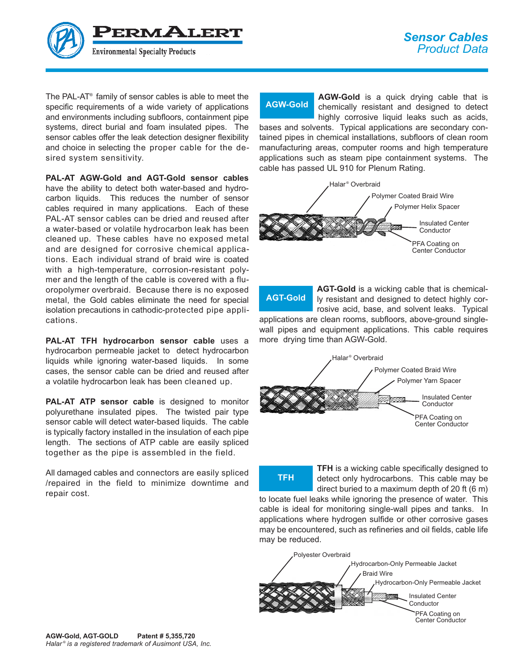PERMALERT

The PAL-AT® family of sensor cables is able to meet the specific requirements of a wide variety of applications and environments including subfloors, containment pipe systems, direct burial and foam insulated pipes. The sensor cables offer the leak detection designer flexibility and choice in selecting the proper cable for the desired system sensitivity.

**PAL-AT AGW-Gold and AGT-Gold sensor cables** have the ability to detect both water-based and hydrocarbon liquids. This reduces the number of sensor cables required in many applications. Each of these PAL-AT sensor cables can be dried and reused after a water-based or volatile hydrocarbon leak has been cleaned up. These cables have no exposed metal and are designed for corrosive chemical applications. Each individual strand of braid wire is coated with a high-temperature, corrosion-resistant polymer and the length of the cable is covered with a fluoropolymer overbraid. Because there is no exposed metal, the Gold cables eliminate the need for special isolation precautions in cathodic-protected pipe applications.

**PAL-AT TFH hydrocarbon sensor cable** uses a hydrocarbon permeable jacket to detect hydrocarbon liquids while ignoring water-based liquids. In some cases, the sensor cable can be dried and reused after a volatile hydrocarbon leak has been cleaned up.

**PAL-AT ATP sensor cable** is designed to monitor polyurethane insulated pipes. The twisted pair type sensor cable will detect water-based liquids. The cable is typically factory installed in the insulation of each pipe length. The sections of ATP cable are easily spliced together as the pipe is assembled in the field.

All damaged cables and connectors are easily spliced /repaired in the field to minimize downtime and repair cost.

**AGW-Gold**

AGW-Gold is a quick drying cable that is chemically resistant and designed to detect highly corrosive liquid leaks such as acids,

bases and solvents. Typical applications are secondary contained pipes in chemical installations, subfloors of clean room manufacturing areas, computer rooms and high temperature applications such as steam pipe containment systems. The cable has passed UL 910 for Plenum Rating.



AGT-Gold is a wicking cable that is chemically resistant and designed to detect highly corrosive acid, base, and solvent leaks. Typical applications are clean rooms, subfloors, above-ground singlewall pipes and equipment applications. This cable requires more drying time than AGW-Gold. **AGT-Gold**



**TFH** is a wicking cable specifically designed to detect only hydrocarbons. This cable may be direct buried to a maximum depth of 20 ft (6 m) to locate fuel leaks while ignoring the presence of water. This cable is ideal for monitoring single-wall pipes and tanks. In applications where hydrogen sulfide or other corrosive gases may be encountered, such as refineries and oil fields, cable life may be reduced. **TFH**